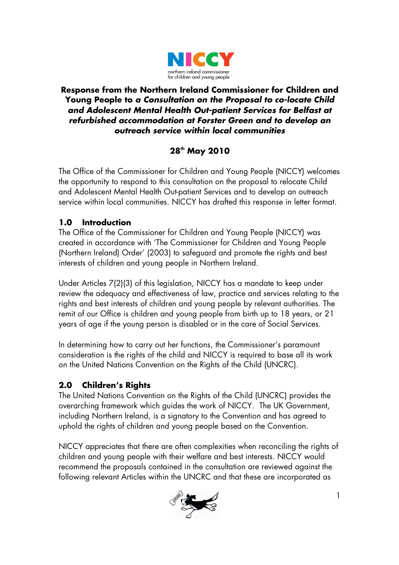

#### **Response from the Northern Ireland Commissioner for Children and Young People to a Consultation on the Proposal to co-locate Child and Adolescent Mental Health Out-patient Services for Belfast at refurbished accommodation at Forster Green and to develop an outreach service within local communities**

# **28th May 2010**

The Office of the Commissioner for Children and Young People (NICCY) welcomes the opportunity to respond to this consultation on the proposal to relocate Child and Adolescent Mental Health Out-patient Services and to develop an outreach service within local communities. NICCY has drafted this response in letter format.

# **1.0 Introduction**

The Office of the Commissioner for Children and Young People (NICCY) was created in accordance with 'The Commissioner for Children and Young People (Northern Ireland) Order' (2003) to safeguard and promote the rights and best interests of children and young people in Northern Ireland.

Under Articles 7(2)(3) of this legislation, NICCY has a mandate to keep under review the adequacy and effectiveness of law, practice and services relating to the rights and best interests of children and young people by relevant authorities. The remit of our Office is children and young people from birth up to 18 years, or 21 years of age if the young person is disabled or in the care of Social Services.

In determining how to carry out her functions, the Commissioner's paramount consideration is the rights of the child and NICCY is required to base all its work on the United Nations Convention on the Rights of the Child (UNCRC).

# **2.0 Children's Rights**

The United Nations Convention on the Rights of the Child (UNCRC) provides the overarching framework which guides the work of NICCY. The UK Government, including Northern Ireland, is a signatory to the Convention and has agreed to uphold the rights of children and young people based on the Convention.

NICCY appreciates that there are often complexities when reconciling the rights of children and young people with their welfare and best interests. NICCY would recommend the proposals contained in the consultation are reviewed against the following relevant Articles within the UNCRC and that these are incorporated as

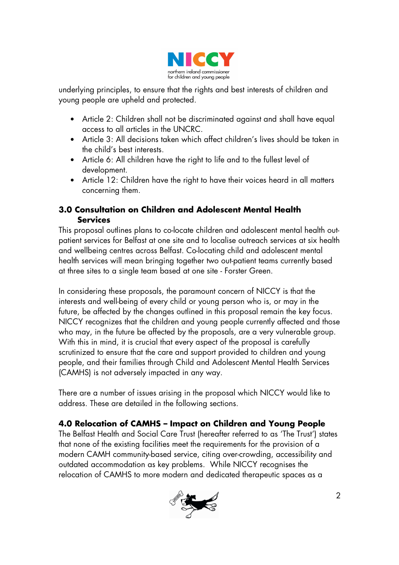

underlying principles, to ensure that the rights and best interests of children and young people are upheld and protected.

- Article 2: Children shall not be discriminated against and shall have equal access to all articles in the UNCRC.
- Article 3: All decisions taken which affect children's lives should be taken in the child's best interests.
- Article 6: All children have the right to life and to the fullest level of development.
- Article 12: Children have the right to have their voices heard in all matters concerning them.

### **3.0 Consultation on Children and Adolescent Mental Health Services**

This proposal outlines plans to co-locate children and adolescent mental health outpatient services for Belfast at one site and to localise outreach services at six health and wellbeing centres across Belfast. Co-locating child and adolescent mental health services will mean bringing together two out-patient teams currently based at three sites to a single team based at one site - Forster Green.

In considering these proposals, the paramount concern of NICCY is that the interests and well-being of every child or young person who is, or may in the future, be affected by the changes outlined in this proposal remain the key focus. NICCY recognizes that the children and young people currently affected and those who may, in the future be affected by the proposals, are a very vulnerable group. With this in mind, it is crucial that every aspect of the proposal is carefully scrutinized to ensure that the care and support provided to children and young people, and their families through Child and Adolescent Mental Health Services (CAMHS) is not adversely impacted in any way.

There are a number of issues arising in the proposal which NICCY would like to address. These are detailed in the following sections.

## **4.0 Relocation of CAMHS – Impact on Children and Young People**

The Belfast Health and Social Care Trust (hereafter referred to as 'The Trust') states that none of the existing facilities meet the requirements for the provision of a modern CAMH community-based service, citing over-crowding, accessibility and outdated accommodation as key problems. While NICCY recognises the relocation of CAMHS to more modern and dedicated therapeutic spaces as a

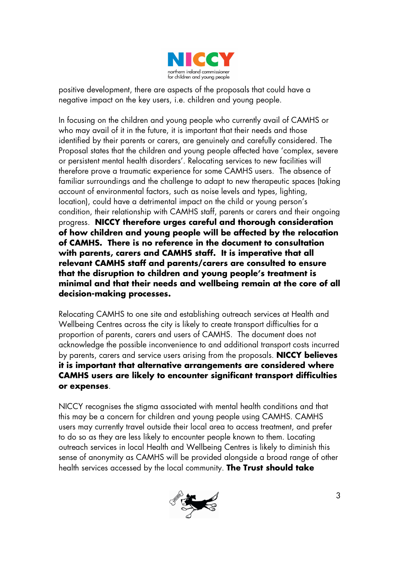

positive development, there are aspects of the proposals that could have a negative impact on the key users, i.e. children and young people.

In focusing on the children and young people who currently avail of CAMHS or who may avail of it in the future, it is important that their needs and those identified by their parents or carers, are genuinely and carefully considered. The Proposal states that the children and young people affected have 'complex, severe or persistent mental health disorders'. Relocating services to new facilities will therefore prove a traumatic experience for some CAMHS users. The absence of familiar surroundings and the challenge to adapt to new therapeutic spaces (taking account of environmental factors, such as noise levels and types, lighting, location), could have a detrimental impact on the child or young person's condition, their relationship with CAMHS staff, parents or carers and their ongoing progress. **NICCY therefore urges careful and thorough consideration of how children and young people will be affected by the relocation of CAMHS. There is no reference in the document to consultation with parents, carers and CAMHS staff. It is imperative that all relevant CAMHS staff and parents/carers are consulted to ensure that the disruption to children and young people's treatment is minimal and that their needs and wellbeing remain at the core of all decision-making processes.** 

Relocating CAMHS to one site and establishing outreach services at Health and Wellbeing Centres across the city is likely to create transport difficulties for a proportion of parents, carers and users of CAMHS. The document does not acknowledge the possible inconvenience to and additional transport costs incurred by parents, carers and service users arising from the proposals. **NICCY believes it is important that alternative arrangements are considered where CAMHS users are likely to encounter significant transport difficulties or expenses**.

NICCY recognises the stigma associated with mental health conditions and that this may be a concern for children and young people using CAMHS. CAMHS users may currently travel outside their local area to access treatment, and prefer to do so as they are less likely to encounter people known to them. Locating outreach services in local Health and Wellbeing Centres is likely to diminish this sense of anonymity as CAMHS will be provided alongside a broad range of other health services accessed by the local community. **The Trust should take** 

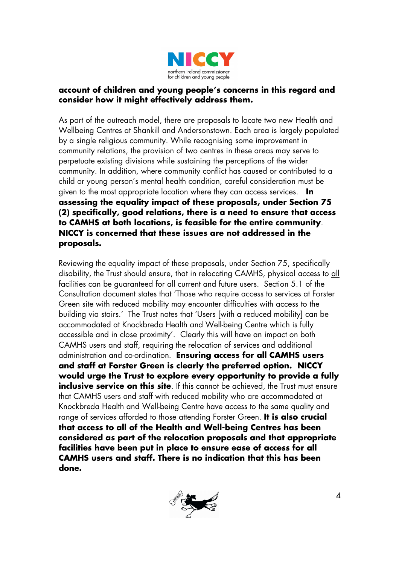

#### **account of children and young people's concerns in this regard and consider how it might effectively address them.**

As part of the outreach model, there are proposals to locate two new Health and Wellbeing Centres at Shankill and Andersonstown. Each area is largely populated by a single religious community. While recognising some improvement in community relations, the provision of two centres in these areas may serve to perpetuate existing divisions while sustaining the perceptions of the wider community. In addition, where community conflict has caused or contributed to a child or young person's mental health condition, careful consideration must be given to the most appropriate location where they can access services. **In assessing the equality impact of these proposals, under Section 75 (2) specifically, good relations, there is a need to ensure that access to CAMHS at both locations, is feasible for the entire community**. **NICCY is concerned that these issues are not addressed in the proposals.** 

Reviewing the equality impact of these proposals, under Section 75, specifically disability, the Trust should ensure, that in relocating CAMHS, physical access to all facilities can be guaranteed for all current and future users. Section 5.1 of the Consultation document states that 'Those who require access to services at Forster Green site with reduced mobility may encounter difficulties with access to the building via stairs.' The Trust notes that 'Users [with a reduced mobility] can be accommodated at Knockbreda Health and Well-being Centre which is fully accessible and in close proximity'. Clearly this will have an impact on both CAMHS users and staff, requiring the relocation of services and additional administration and co-ordination. **Ensuring access for all CAMHS users and staff at Forster Green is clearly the preferred option. NICCY would urge the Trust to explore every opportunity to provide a fully inclusive service on this site**. If this cannot be achieved, the Trust must ensure that CAMHS users and staff with reduced mobility who are accommodated at Knockbreda Health and Well-being Centre have access to the same quality and range of services afforded to those attending Forster Green. **It is also crucial that access to all of the Health and Well-being Centres has been considered as part of the relocation proposals and that appropriate facilities have been put in place to ensure ease of access for all CAMHS users and staff. There is no indication that this has been done.** 

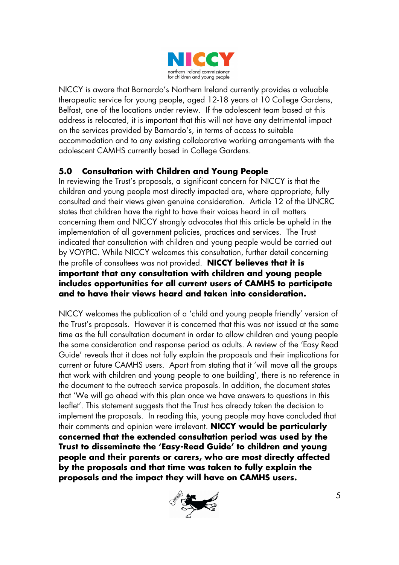

NICCY is aware that Barnardo's Northern Ireland currently provides a valuable therapeutic service for young people, aged 12-18 years at 10 College Gardens, Belfast, one of the locations under review. If the adolescent team based at this address is relocated, it is important that this will not have any detrimental impact on the services provided by Barnardo's, in terms of access to suitable accommodation and to any existing collaborative working arrangements with the adolescent CAMHS currently based in College Gardens.

### **5.0 Consultation with Children and Young People**

In reviewing the Trust's proposals, a significant concern for NICCY is that the children and young people most directly impacted are, where appropriate, fully consulted and their views given genuine consideration. Article 12 of the UNCRC states that children have the right to have their voices heard in all matters concerning them and NICCY strongly advocates that this article be upheld in the implementation of all government policies, practices and services. The Trust indicated that consultation with children and young people would be carried out by VOYPIC. While NICCY welcomes this consultation, further detail concerning the profile of consultees was not provided. **NICCY believes that it is important that any consultation with children and young people includes opportunities for all current users of CAMHS to participate and to have their views heard and taken into consideration.** 

NICCY welcomes the publication of a 'child and young people friendly' version of the Trust's proposals. However it is concerned that this was not issued at the same time as the full consultation document in order to allow children and young people the same consideration and response period as adults. A review of the 'Easy Read Guide' reveals that it does not fully explain the proposals and their implications for current or future CAMHS users. Apart from stating that it 'will move all the groups that work with children and young people to one building', there is no reference in the document to the outreach service proposals. In addition, the document states that 'We will go ahead with this plan once we have answers to questions in this leaflet'. This statement suggests that the Trust has already taken the decision to implement the proposals. In reading this, young people may have concluded that their comments and opinion were irrelevant. **NICCY would be particularly concerned that the extended consultation period was used by the Trust to disseminate the 'Easy-Read Guide' to children and young people and their parents or carers, who are most directly affected by the proposals and that time was taken to fully explain the proposals and the impact they will have on CAMHS users.** 

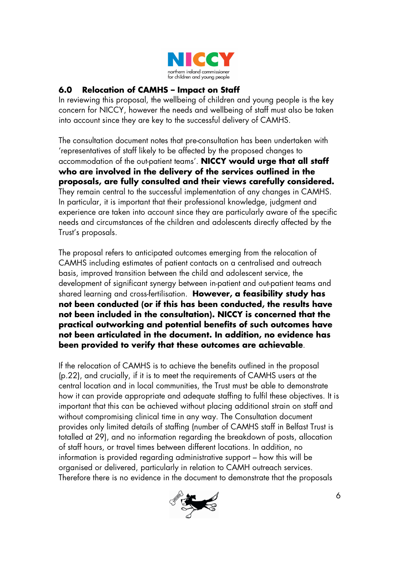

## **6.0 Relocation of CAMHS – Impact on Staff**

In reviewing this proposal, the wellbeing of children and young people is the key concern for NICCY, however the needs and wellbeing of staff must also be taken into account since they are key to the successful delivery of CAMHS.

The consultation document notes that pre-consultation has been undertaken with 'representatives of staff likely to be affected by the proposed changes to accommodation of the out-patient teams'. **NICCY would urge that all staff who are involved in the delivery of the services outlined in the proposals, are fully consulted and their views carefully considered.** They remain central to the successful implementation of any changes in CAMHS. In particular, it is important that their professional knowledge, judgment and experience are taken into account since they are particularly aware of the specific needs and circumstances of the children and adolescents directly affected by the Trust's proposals.

The proposal refers to anticipated outcomes emerging from the relocation of CAMHS including estimates of patient contacts on a centralised and outreach basis, improved transition between the child and adolescent service, the development of significant synergy between in-patient and out-patient teams and shared learning and cross-fertilisation. **However, a feasibility study has not been conducted (or if this has been conducted, the results have not been included in the consultation). NICCY is concerned that the practical outworking and potential benefits of such outcomes have not been articulated in the document. In addition, no evidence has been provided to verify that these outcomes are achievable**.

If the relocation of CAMHS is to achieve the benefits outlined in the proposal (p.22), and crucially, if it is to meet the requirements of CAMHS users at the central location and in local communities, the Trust must be able to demonstrate how it can provide appropriate and adequate staffing to fulfil these objectives. It is important that this can be achieved without placing additional strain on staff and without compromising clinical time in any way. The Consultation document provides only limited details of staffing (number of CAMHS staff in Belfast Trust is totalled at 29), and no information regarding the breakdown of posts, allocation of staff hours, or travel times between different locations. In addition, no information is provided regarding administrative support – how this will be organised or delivered, particularly in relation to CAMH outreach services. Therefore there is no evidence in the document to demonstrate that the proposals

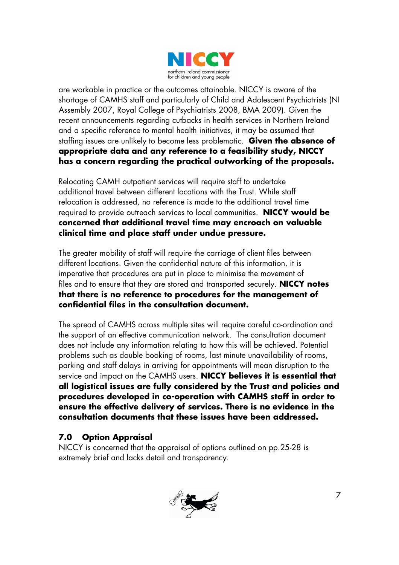

are workable in practice or the outcomes attainable. NICCY is aware of the shortage of CAMHS staff and particularly of Child and Adolescent Psychiatrists (NI Assembly 2007, Royal College of Psychiatrists 2008, BMA 2009). Given the recent announcements regarding cutbacks in health services in Northern Ireland and a specific reference to mental health initiatives, it may be assumed that staffing issues are unlikely to become less problematic. **Given the absence of appropriate data and any reference to a feasibility study, NICCY has a concern regarding the practical outworking of the proposals.** 

Relocating CAMH outpatient services will require staff to undertake additional travel between different locations with the Trust. While staff relocation is addressed, no reference is made to the additional travel time required to provide outreach services to local communities. **NICCY would be concerned that additional travel time may encroach on valuable clinical time and place staff under undue pressure.** 

The greater mobility of staff will require the carriage of client files between different locations. Given the confidential nature of this information, it is imperative that procedures are put in place to minimise the movement of files and to ensure that they are stored and transported securely. **NICCY notes that there is no reference to procedures for the management of confidential files in the consultation document.** 

The spread of CAMHS across multiple sites will require careful co-ordination and the support of an effective communication network. The consultation document does not include any information relating to how this will be achieved. Potential problems such as double booking of rooms, last minute unavailability of rooms, parking and staff delays in arriving for appointments will mean disruption to the service and impact on the CAMHS users. **NICCY believes it is essential that all logistical issues are fully considered by the Trust and policies and procedures developed in co-operation with CAMHS staff in order to ensure the effective delivery of services. There is no evidence in the consultation documents that these issues have been addressed.**

## **7.0 Option Appraisal**

NICCY is concerned that the appraisal of options outlined on pp.25-28 is extremely brief and lacks detail and transparency.

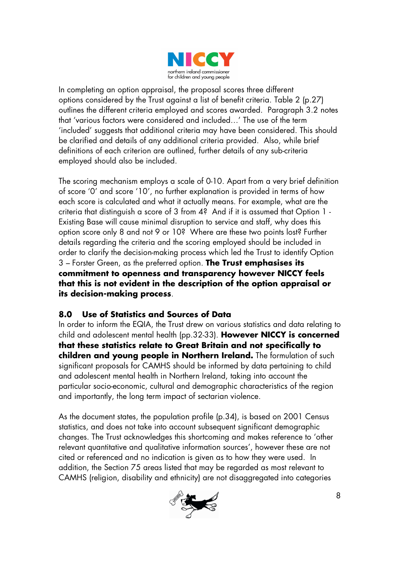

In completing an option appraisal, the proposal scores three different options considered by the Trust against a list of benefit criteria. Table 2 (p.27) outlines the different criteria employed and scores awarded. Paragraph 3.2 notes that 'various factors were considered and included…' The use of the term 'included' suggests that additional criteria may have been considered. This should be clarified and details of any additional criteria provided. Also, while brief definitions of each criterion are outlined, further details of any sub-criteria employed should also be included.

The scoring mechanism employs a scale of 0-10. Apart from a very brief definition of score '0' and score '10', no further explanation is provided in terms of how each score is calculated and what it actually means. For example, what are the criteria that distinguish a score of 3 from 4? And if it is assumed that Option 1 - Existing Base will cause minimal disruption to service and staff, why does this option score only 8 and not 9 or 10? Where are these two points lost? Further details regarding the criteria and the scoring employed should be included in order to clarify the decision-making process which led the Trust to identify Option 3 – Forster Green, as the preferred option. **The Trust emphasises its commitment to openness and transparency however NICCY feels that this is not evident in the description of the option appraisal or its decision-making process**.

## **8.0 Use of Statistics and Sources of Data**

In order to inform the EQIA, the Trust drew on various statistics and data relating to child and adolescent mental health (pp.32-33). **However NICCY is concerned that these statistics relate to Great Britain and not specifically to children and young people in Northern Ireland.** The formulation of such significant proposals for CAMHS should be informed by data pertaining to child and adolescent mental health in Northern Ireland, taking into account the particular socio-economic, cultural and demographic characteristics of the region and importantly, the long term impact of sectarian violence.

As the document states, the population profile (p.34), is based on 2001 Census statistics, and does not take into account subsequent significant demographic changes. The Trust acknowledges this shortcoming and makes reference to 'other relevant quantitative and qualitative information sources', however these are not cited or referenced and no indication is given as to how they were used. In addition, the Section 75 areas listed that may be regarded as most relevant to CAMHS (religion, disability and ethnicity) are not disaggregated into categories